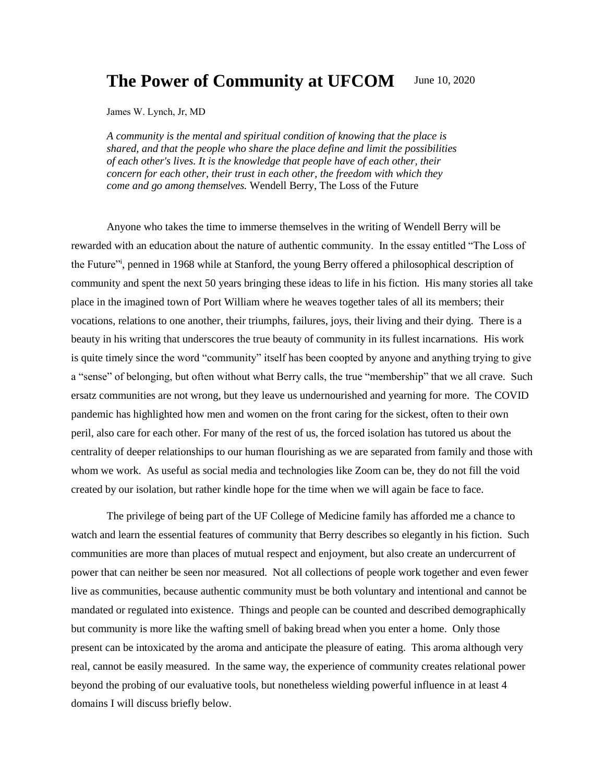#### **The Power of Community at UFCOM** June 10, 2020

James W. Lynch, Jr, MD

*A community is the mental and spiritual condition of knowing that the place is shared, and that the people who share the place define and limit the possibilities of each other's lives. It is the knowledge that people have of each other, their concern for each other, their trust in each other, the freedom with which they come and go among themselves.* Wendell Berry, The Loss of the Future

Anyone who takes the time to immerse themselves in the writing of Wendell Berry will be rewarded with an education about the nature of authentic community. In the essay entitled "The Loss of the Future<sup>31</sup>, penned in 1968 while at Stanford, the young Berry offered a philosophical description of community and spent the next 50 years bringing these ideas to life in his fiction. His many stories all take place in the imagined town of Port William where he weaves together tales of all its members; their vocations, relations to one another, their triumphs, failures, joys, their living and their dying. There is a beauty in his writing that underscores the true beauty of community in its fullest incarnations. His work is quite timely since the word "community" itself has been coopted by anyone and anything trying to give a "sense" of belonging, but often without what Berry calls, the true "membership" that we all crave. Such ersatz communities are not wrong, but they leave us undernourished and yearning for more. The COVID pandemic has highlighted how men and women on the front caring for the sickest, often to their own peril, also care for each other. For many of the rest of us, the forced isolation has tutored us about the centrality of deeper relationships to our human flourishing as we are separated from family and those with whom we work. As useful as social media and technologies like Zoom can be, they do not fill the void created by our isolation, but rather kindle hope for the time when we will again be face to face.

The privilege of being part of the UF College of Medicine family has afforded me a chance to watch and learn the essential features of community that Berry describes so elegantly in his fiction. Such communities are more than places of mutual respect and enjoyment, but also create an undercurrent of power that can neither be seen nor measured. Not all collections of people work together and even fewer live as communities, because authentic community must be both voluntary and intentional and cannot be mandated or regulated into existence. Things and people can be counted and described demographically but community is more like the wafting smell of baking bread when you enter a home. Only those present can be intoxicated by the aroma and anticipate the pleasure of eating. This aroma although very real, cannot be easily measured. In the same way, the experience of community creates relational power beyond the probing of our evaluative tools, but nonetheless wielding powerful influence in at least 4 domains I will discuss briefly below.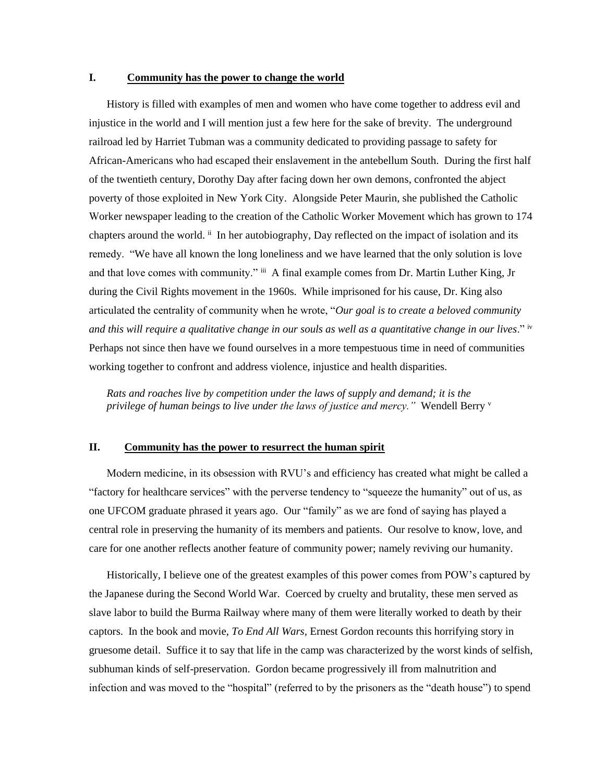# **I. Community has the power to change the world**

History is filled with examples of men and women who have come together to address evil and injustice in the world and I will mention just a few here for the sake of brevity. The underground railroad led by Harriet Tubman was a community dedicated to providing passage to safety for African-Americans who had escaped their enslavement in the antebellum South. During the first half of the twentieth century, Dorothy Day after facing down her own demons, confronted the abject poverty of those exploited in New York City. Alongside Peter Maurin, she published the Catholic Worker newspaper leading to the creation of the Catholic Worker Movement which has grown to 174 chapters around the world.  $\ddot{u}$  In her autobiography, Day reflected on the impact of isolation and its remedy. "We have all known the long loneliness and we have learned that the only solution is love and that love comes with community." iii A final example comes from Dr. Martin Luther King, Jr during the Civil Rights movement in the 1960s. While imprisoned for his cause, Dr. King also articulated the centrality of community when he wrote, "*Our goal is to create a beloved community and this will require a qualitative change in our souls as well as a quantitative change in our lives*." iv Perhaps not since then have we found ourselves in a more tempestuous time in need of communities working together to confront and address violence, injustice and health disparities.

*Rats and roaches live by competition under the laws of supply and demand; it is the privilege of human beings to live under the laws of justice and mercy."* Wendell Berry <sup>v</sup>

# **II. Community has the power to resurrect the human spirit**

Modern medicine, in its obsession with RVU's and efficiency has created what might be called a "factory for healthcare services" with the perverse tendency to "squeeze the humanity" out of us, as one UFCOM graduate phrased it years ago. Our "family" as we are fond of saying has played a central role in preserving the humanity of its members and patients. Our resolve to know, love, and care for one another reflects another feature of community power; namely reviving our humanity.

Historically, I believe one of the greatest examples of this power comes from POW's captured by the Japanese during the Second World War. Coerced by cruelty and brutality, these men served as slave labor to build the Burma Railway where many of them were literally worked to death by their captors. In the book and movie, *To End All Wars,* Ernest Gordon recounts this horrifying story in gruesome detail. Suffice it to say that life in the camp was characterized by the worst kinds of selfish, subhuman kinds of self-preservation. Gordon became progressively ill from malnutrition and infection and was moved to the "hospital" (referred to by the prisoners as the "death house") to spend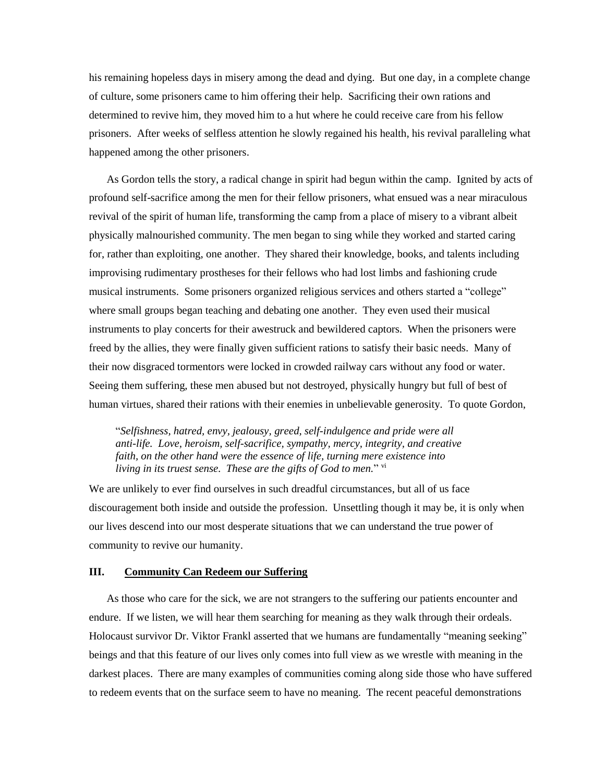his remaining hopeless days in misery among the dead and dying. But one day, in a complete change of culture, some prisoners came to him offering their help. Sacrificing their own rations and determined to revive him, they moved him to a hut where he could receive care from his fellow prisoners. After weeks of selfless attention he slowly regained his health, his revival paralleling what happened among the other prisoners.

As Gordon tells the story, a radical change in spirit had begun within the camp. Ignited by acts of profound self-sacrifice among the men for their fellow prisoners, what ensued was a near miraculous revival of the spirit of human life, transforming the camp from a place of misery to a vibrant albeit physically malnourished community. The men began to sing while they worked and started caring for, rather than exploiting, one another. They shared their knowledge, books, and talents including improvising rudimentary prostheses for their fellows who had lost limbs and fashioning crude musical instruments. Some prisoners organized religious services and others started a "college" where small groups began teaching and debating one another. They even used their musical instruments to play concerts for their awestruck and bewildered captors. When the prisoners were freed by the allies, they were finally given sufficient rations to satisfy their basic needs. Many of their now disgraced tormentors were locked in crowded railway cars without any food or water. Seeing them suffering, these men abused but not destroyed, physically hungry but full of best of human virtues, shared their rations with their enemies in unbelievable generosity. To quote Gordon,

"*Selfishness, hatred, envy, jealousy, greed, self-indulgence and pride were all anti-life. Love, heroism, self-sacrifice, sympathy, mercy, integrity, and creative faith, on the other hand were the essence of life, turning mere existence into*  living in its truest sense. These are the gifts of God to men." <sup>vi</sup>

We are unlikely to ever find ourselves in such dreadful circumstances, but all of us face discouragement both inside and outside the profession. Unsettling though it may be, it is only when our lives descend into our most desperate situations that we can understand the true power of community to revive our humanity.

### **III. Community Can Redeem our Suffering**

As those who care for the sick, we are not strangers to the suffering our patients encounter and endure. If we listen, we will hear them searching for meaning as they walk through their ordeals. Holocaust survivor Dr. Viktor Frankl asserted that we humans are fundamentally "meaning seeking" beings and that this feature of our lives only comes into full view as we wrestle with meaning in the darkest places. There are many examples of communities coming along side those who have suffered to redeem events that on the surface seem to have no meaning. The recent peaceful demonstrations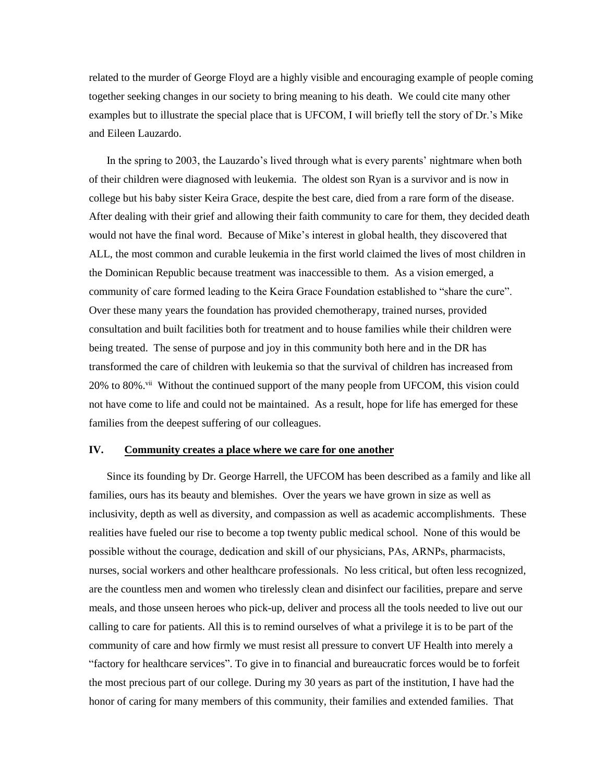related to the murder of George Floyd are a highly visible and encouraging example of people coming together seeking changes in our society to bring meaning to his death. We could cite many other examples but to illustrate the special place that is UFCOM, I will briefly tell the story of Dr.'s Mike and Eileen Lauzardo.

In the spring to 2003, the Lauzardo's lived through what is every parents' nightmare when both of their children were diagnosed with leukemia. The oldest son Ryan is a survivor and is now in college but his baby sister Keira Grace, despite the best care, died from a rare form of the disease. After dealing with their grief and allowing their faith community to care for them, they decided death would not have the final word. Because of Mike's interest in global health, they discovered that ALL, the most common and curable leukemia in the first world claimed the lives of most children in the Dominican Republic because treatment was inaccessible to them. As a vision emerged, a community of care formed leading to the Keira Grace Foundation established to "share the cure". Over these many years the foundation has provided chemotherapy, trained nurses, provided consultation and built facilities both for treatment and to house families while their children were being treated. The sense of purpose and joy in this community both here and in the DR has transformed the care of children with leukemia so that the survival of children has increased from  $20\%$  to 80%.<sup>vii</sup> Without the continued support of the many people from UFCOM, this vision could not have come to life and could not be maintained. As a result, hope for life has emerged for these families from the deepest suffering of our colleagues.

#### **IV. Community creates a place where we care for one another**

Since its founding by Dr. George Harrell, the UFCOM has been described as a family and like all families, ours has its beauty and blemishes. Over the years we have grown in size as well as inclusivity, depth as well as diversity, and compassion as well as academic accomplishments. These realities have fueled our rise to become a top twenty public medical school. None of this would be possible without the courage, dedication and skill of our physicians, PAs, ARNPs, pharmacists, nurses, social workers and other healthcare professionals. No less critical, but often less recognized, are the countless men and women who tirelessly clean and disinfect our facilities, prepare and serve meals, and those unseen heroes who pick-up, deliver and process all the tools needed to live out our calling to care for patients. All this is to remind ourselves of what a privilege it is to be part of the community of care and how firmly we must resist all pressure to convert UF Health into merely a "factory for healthcare services". To give in to financial and bureaucratic forces would be to forfeit the most precious part of our college. During my 30 years as part of the institution, I have had the honor of caring for many members of this community, their families and extended families. That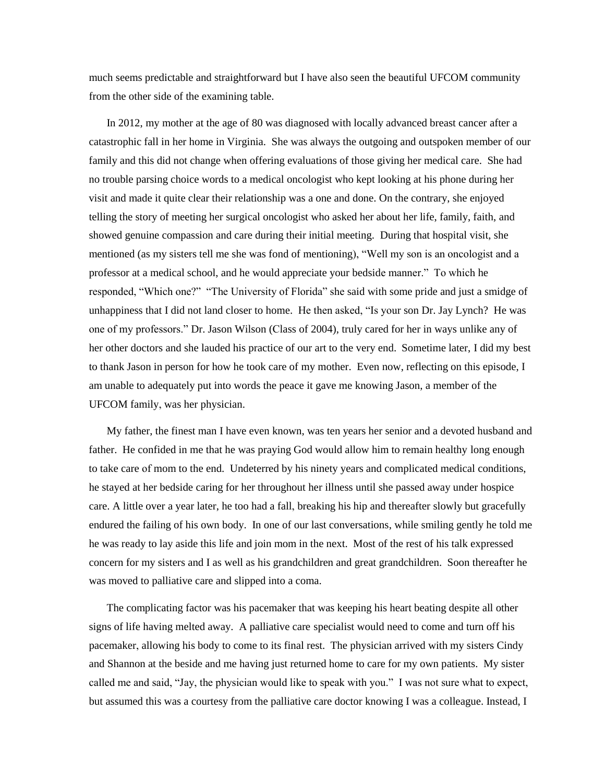much seems predictable and straightforward but I have also seen the beautiful UFCOM community from the other side of the examining table.

In 2012, my mother at the age of 80 was diagnosed with locally advanced breast cancer after a catastrophic fall in her home in Virginia. She was always the outgoing and outspoken member of our family and this did not change when offering evaluations of those giving her medical care. She had no trouble parsing choice words to a medical oncologist who kept looking at his phone during her visit and made it quite clear their relationship was a one and done. On the contrary, she enjoyed telling the story of meeting her surgical oncologist who asked her about her life, family, faith, and showed genuine compassion and care during their initial meeting. During that hospital visit, she mentioned (as my sisters tell me she was fond of mentioning), "Well my son is an oncologist and a professor at a medical school, and he would appreciate your bedside manner." To which he responded, "Which one?" "The University of Florida" she said with some pride and just a smidge of unhappiness that I did not land closer to home. He then asked, "Is your son Dr. Jay Lynch? He was one of my professors." Dr. Jason Wilson (Class of 2004), truly cared for her in ways unlike any of her other doctors and she lauded his practice of our art to the very end. Sometime later, I did my best to thank Jason in person for how he took care of my mother. Even now, reflecting on this episode, I am unable to adequately put into words the peace it gave me knowing Jason, a member of the UFCOM family, was her physician.

My father, the finest man I have even known, was ten years her senior and a devoted husband and father. He confided in me that he was praying God would allow him to remain healthy long enough to take care of mom to the end. Undeterred by his ninety years and complicated medical conditions, he stayed at her bedside caring for her throughout her illness until she passed away under hospice care. A little over a year later, he too had a fall, breaking his hip and thereafter slowly but gracefully endured the failing of his own body. In one of our last conversations, while smiling gently he told me he was ready to lay aside this life and join mom in the next. Most of the rest of his talk expressed concern for my sisters and I as well as his grandchildren and great grandchildren. Soon thereafter he was moved to palliative care and slipped into a coma.

The complicating factor was his pacemaker that was keeping his heart beating despite all other signs of life having melted away. A palliative care specialist would need to come and turn off his pacemaker, allowing his body to come to its final rest. The physician arrived with my sisters Cindy and Shannon at the beside and me having just returned home to care for my own patients. My sister called me and said, "Jay, the physician would like to speak with you." I was not sure what to expect, but assumed this was a courtesy from the palliative care doctor knowing I was a colleague. Instead, I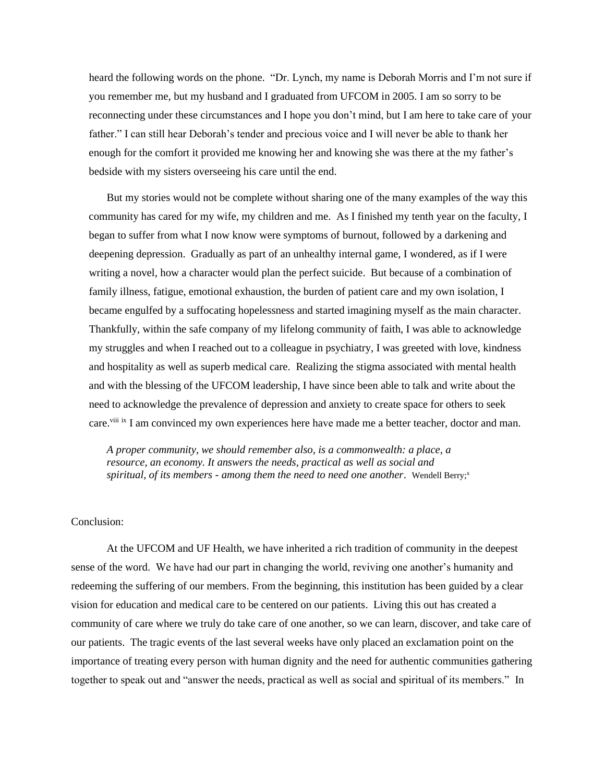heard the following words on the phone. "Dr. Lynch, my name is Deborah Morris and I'm not sure if you remember me, but my husband and I graduated from UFCOM in 2005. I am so sorry to be reconnecting under these circumstances and I hope you don't mind, but I am here to take care of your father." I can still hear Deborah's tender and precious voice and I will never be able to thank her enough for the comfort it provided me knowing her and knowing she was there at the my father's bedside with my sisters overseeing his care until the end.

But my stories would not be complete without sharing one of the many examples of the way this community has cared for my wife, my children and me. As I finished my tenth year on the faculty, I began to suffer from what I now know were symptoms of burnout, followed by a darkening and deepening depression. Gradually as part of an unhealthy internal game, I wondered, as if I were writing a novel, how a character would plan the perfect suicide. But because of a combination of family illness, fatigue, emotional exhaustion, the burden of patient care and my own isolation, I became engulfed by a suffocating hopelessness and started imagining myself as the main character. Thankfully, within the safe company of my lifelong community of faith, I was able to acknowledge my struggles and when I reached out to a colleague in psychiatry, I was greeted with love, kindness and hospitality as well as superb medical care. Realizing the stigma associated with mental health and with the blessing of the UFCOM leadership, I have since been able to talk and write about the need to acknowledge the prevalence of depression and anxiety to create space for others to seek care.<sup>viii</sup> ix I am convinced my own experiences here have made me a better teacher, doctor and man.

*A proper community, we should remember also, is a commonwealth: a place, a resource, an economy. It answers the needs, practical as well as social and spiritual, of its members - among them the need to need one another.* Wendell Berry;<sup>x</sup>

## Conclusion:

At the UFCOM and UF Health, we have inherited a rich tradition of community in the deepest sense of the word. We have had our part in changing the world, reviving one another's humanity and redeeming the suffering of our members. From the beginning, this institution has been guided by a clear vision for education and medical care to be centered on our patients. Living this out has created a community of care where we truly do take care of one another, so we can learn, discover, and take care of our patients. The tragic events of the last several weeks have only placed an exclamation point on the importance of treating every person with human dignity and the need for authentic communities gathering together to speak out and "answer the needs, practical as well as social and spiritual of its members." In